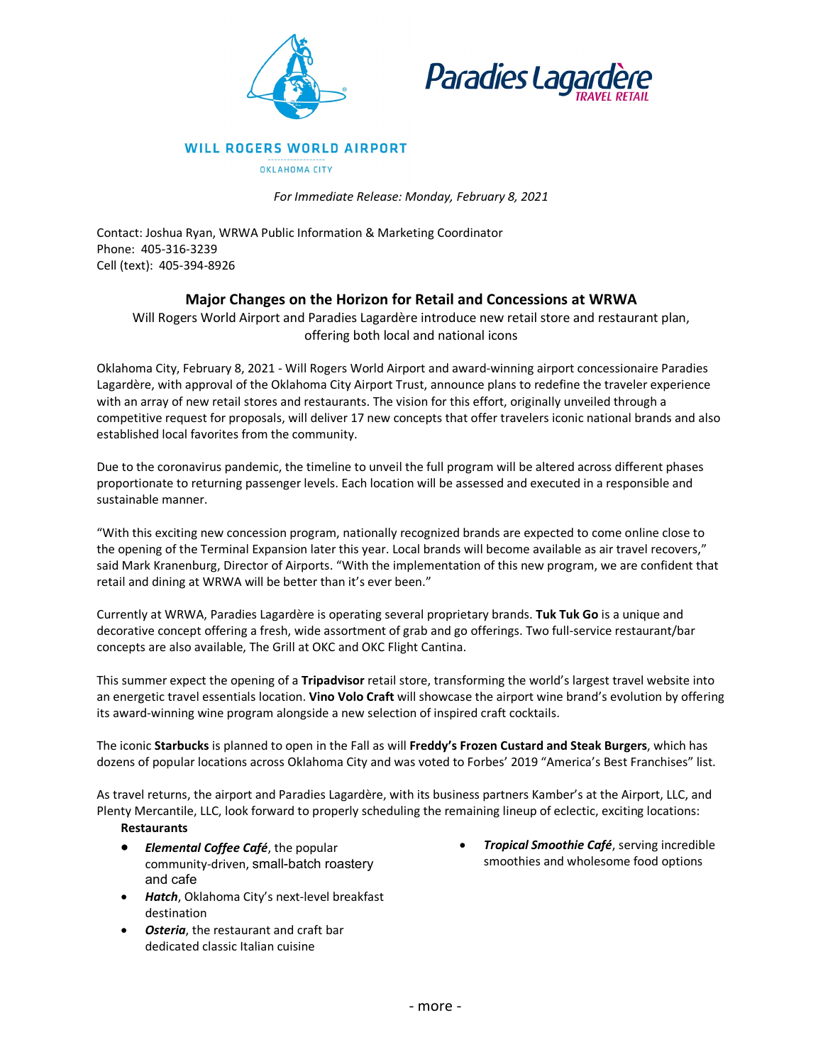



**WILL ROGERS WORLD AIRPORT** 

OKLAHOMA CITY

*For Immediate Release: Monday, February 8, 2021*

Contact: Joshua Ryan, WRWA Public Information & Marketing Coordinator Phone: 405-316-3239 Cell (text): 405-394-8926

# **Major Changes on the Horizon for Retail and Concessions at WRWA**

Will Rogers World Airport and Paradies Lagardère introduce new retail store and restaurant plan, offering both local and national icons

Oklahoma City, February 8, 2021 - Will Rogers World Airport and award-winning airport concessionaire Paradies Lagardère, with approval of the Oklahoma City Airport Trust, announce plans to redefine the traveler experience with an array of new retail stores and restaurants. The vision for this effort, originally unveiled through a competitive request for proposals, will deliver 17 new concepts that offer travelers iconic national brands and also established local favorites from the community.

Due to the coronavirus pandemic, the timeline to unveil the full program will be altered across different phases proportionate to returning passenger levels. Each location will be assessed and executed in a responsible and sustainable manner.

"With this exciting new concession program, nationally recognized brands are expected to come online close to the opening of the Terminal Expansion later this year. Local brands will become available as air travel recovers," said Mark Kranenburg, Director of Airports. "With the implementation of this new program, we are confident that retail and dining at WRWA will be better than it's ever been."

Currently at WRWA, Paradies Lagardère is operating several proprietary brands. **Tuk Tuk Go** is a unique and decorative concept offering a fresh, wide assortment of grab and go offerings. Two full-service restaurant/bar concepts are also available, The Grill at OKC and OKC Flight Cantina.

This summer expect the opening of a **Tripadvisor** retail store, transforming the world's largest travel website into an energetic travel essentials location. **Vino Volo Craft** will showcase the airport wine brand's evolution by offering its award-winning wine program alongside a new selection of inspired craft cocktails.

The iconic **Starbucks** is planned to open in the Fall as will **Freddy's Frozen Custard and Steak Burgers**, which has dozens of popular locations across Oklahoma City and was voted to Forbes' 2019 "America's Best Franchises" list.

As travel returns, the airport and Paradies Lagardère, with its business partners Kamber's at the Airport, LLC, and Plenty Mercantile, LLC, look forward to properly scheduling the remaining lineup of eclectic, exciting locations:

## **Restaurants**

- *Elemental Coffee Café*, the popular community-driven, small-batch roastery and cafe
- *Hatch*, Oklahoma City's next-level breakfast destination
- *Osteria*, the restaurant and craft bar dedicated classic Italian cuisine

• *Tropical Smoothie Café*, serving incredible smoothies and wholesome food options